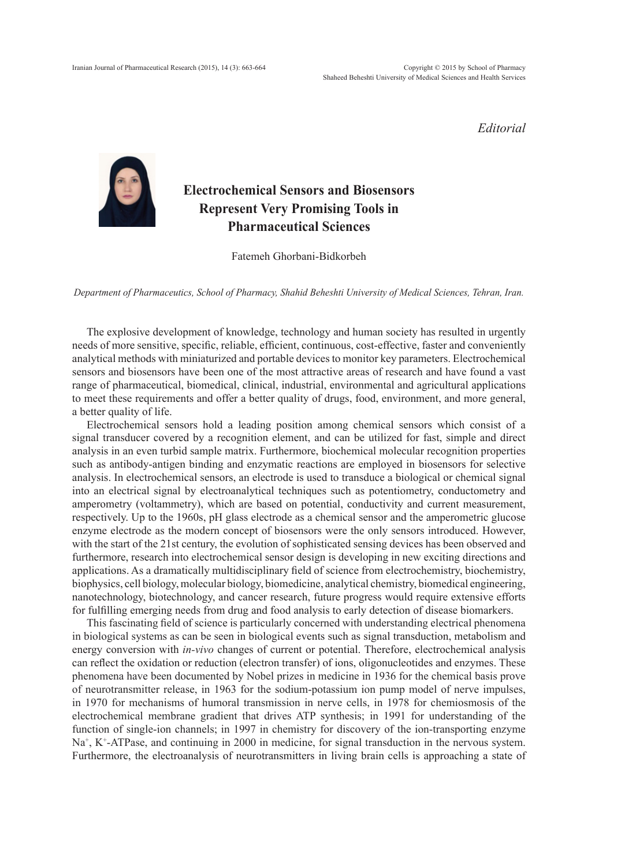*Editorial*



## **Electrochemical Sensors and Biosensors Represent Very Promising Tools in Pharmaceutical Sciences**

Fatemeh Ghorbani-Bidkorbeh

*Department of Pharmaceutics, School of Pharmacy, Shahid Beheshti University of Medical Sciences, Tehran, Iran.*

The explosive development of knowledge, technology and human society has resulted in urgently needs of more sensitive, specific, reliable, efficient, continuous, cost-effective, faster and conveniently analytical methods with miniaturized and portable devices to monitor key parameters. Electrochemical sensors and biosensors have been one of the most attractive areas of research and have found a vast range of pharmaceutical, biomedical, clinical, industrial, environmental and agricultural applications to meet these requirements and offer a better quality of drugs, food, environment, and more general, a better quality of life.

Electrochemical sensors hold a leading position among chemical sensors which consist of a signal transducer covered by a recognition element, and can be utilized for fast, simple and direct analysis in an even turbid sample matrix. Furthermore, biochemical molecular recognition properties such as antibody-antigen binding and enzymatic reactions are employed in biosensors for selective analysis. In electrochemical sensors, an electrode is used to transduce a biological or chemical signal into an electrical signal by electroanalytical techniques such as potentiometry, conductometry and amperometry (voltammetry), which are based on potential, conductivity and current measurement, respectively. Up to the 1960s, pH glass electrode as a chemical sensor and the amperometric glucose enzyme electrode as the modern concept of biosensors were the only sensors introduced. However, with the start of the 21st century, the evolution of sophisticated sensing devices has been observed and furthermore, research into electrochemical sensor design is developing in new exciting directions and applications. As a dramatically multidisciplinary field of science from electrochemistry, biochemistry, biophysics, cell biology, molecular biology, biomedicine, analytical chemistry, biomedical engineering, nanotechnology, biotechnology, and cancer research, future progress would require extensive efforts for fulfilling emerging needs from drug and food analysis to early detection of disease biomarkers.

This fascinating field of science is particularly concerned with understanding electrical phenomena in biological systems as can be seen in biological events such as signal transduction, metabolism and energy conversion with *in-vivo* changes of current or potential. Therefore, electrochemical analysis can reflect the oxidation or reduction (electron transfer) of ions, oligonucleotides and enzymes. These phenomena have been documented by Nobel prizes in medicine in 1936 for the chemical basis prove of neurotransmitter release, in 1963 for the sodium-potassium ion pump model of nerve impulses, in 1970 for mechanisms of humoral transmission in nerve cells, in 1978 for chemiosmosis of the electrochemical membrane gradient that drives ATP synthesis; in 1991 for understanding of the function of single-ion channels; in 1997 in chemistry for discovery of the ion-transporting enzyme Na<sup>+</sup>, K<sup>+</sup>-ATPase, and continuing in 2000 in medicine, for signal transduction in the nervous system. Furthermore, the electroanalysis of neurotransmitters in living brain cells is approaching a state of